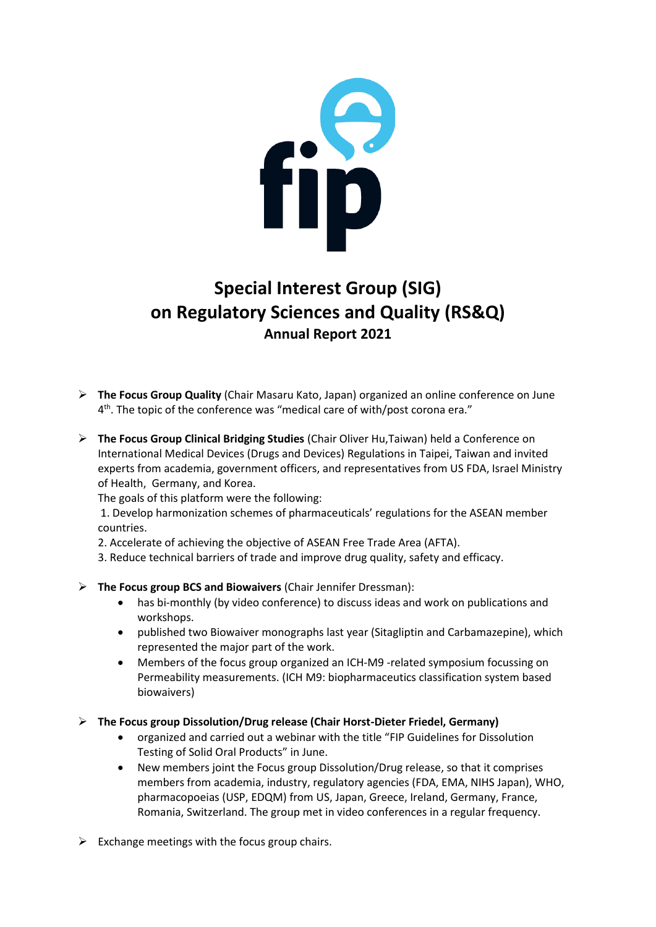

## **Special Interest Group (SIG) on Regulatory Sciences and Quality (RS&Q) Annual Report 2021**

- ➢ **The Focus Group Quality** (Chair Masaru Kato, Japan) organized an online conference on June 4<sup>th</sup>. The topic of the conference was "medical care of with/post corona era."
- ➢ **The Focus Group Clinical Bridging Studies** (Chair Oliver Hu,Taiwan) held a Conference on International Medical Devices (Drugs and Devices) Regulations in Taipei, Taiwan and invited experts from academia, government officers, and representatives from US FDA, Israel Ministry of Health, Germany, and Korea.
	- The goals of this platform were the following:

1. Develop harmonization schemes of pharmaceuticals' regulations for the ASEAN member countries.

- 2. Accelerate of achieving the objective of ASEAN Free Trade Area (AFTA).
- 3. Reduce technical barriers of trade and improve drug quality, safety and efficacy.
- ➢ **The Focus group BCS and Biowaivers** (Chair Jennifer Dressman):
	- has bi-monthly (by video conference) to discuss ideas and work on publications and workshops.
	- published two Biowaiver monographs last year (Sitagliptin and Carbamazepine), which represented the major part of the work.
	- Members of the focus group organized an ICH-M9 -related symposium focussing on Permeability measurements. (ICH M9: biopharmaceutics classification system based biowaivers)
- ➢ **The Focus group Dissolution/Drug release (Chair Horst-Dieter Friedel, Germany)**
	- organized and carried out a webinar with the title "FIP Guidelines for Dissolution Testing of Solid Oral Products" in June.
	- New members joint the Focus group Dissolution/Drug release, so that it comprises members from academia, industry, regulatory agencies (FDA, EMA, NIHS Japan), WHO, pharmacopoeias (USP, EDQM) from US, Japan, Greece, Ireland, Germany, France, Romania, Switzerland. The group met in video conferences in a regular frequency.
- $\triangleright$  Exchange meetings with the focus group chairs.